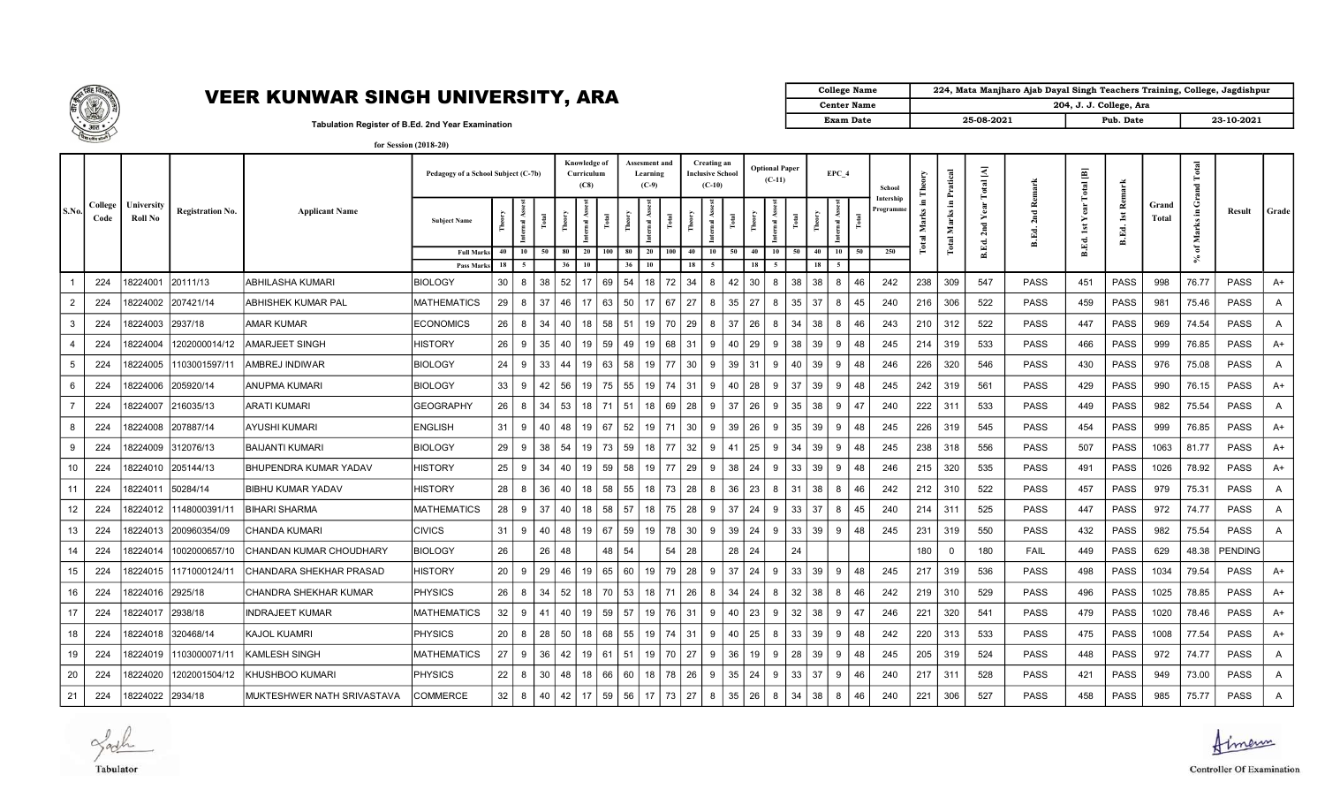

## VEER KUNWAR SINGH UNIVERSITY, ARA  $\begin{bmatrix} \begin{matrix} \begin{matrix} \end{matrix} \end{matrix} & \begin{matrix} \end{matrix} \end{bmatrix} & \begin{matrix} \end{matrix} \end{bmatrix} \end{bmatrix}$

| College Name       | 224, Mata Manjharo Ajab Dayal Singh Teachers Training, College, Jagdishpur |                         |            |
|--------------------|----------------------------------------------------------------------------|-------------------------|------------|
| <b>Center Name</b> |                                                                            | 204, J. J. College, Ara |            |
| <b>Exam Date</b>   | 25-08-2021                                                                 | Pub. Date               | 23-10-2021 |

Tabulation Register of B.Ed. 2nd Year Examination

| for Session (2018-20) |
|-----------------------|
|-----------------------|

|                |                 |                              |                         |                                | Pedagogy of a School Subject (C-7b) |          |                  |    | Knowledge of | Curriculum<br>(C8) |                 | Assesment and<br>Learning<br>$(C-9)$ |     |          | Creating an<br><b>Inclusive School</b><br>$(C-10)$ |       |          | <b>Optional Paper</b><br>$(C-11)$ |                 | EPC 4                            |    | School               |                               | Pratical    | otal [A] | Remar        | 画<br>Total                         |                                        |                | <b>Total</b><br>$\overline{a}$ |             |              |  |
|----------------|-----------------|------------------------------|-------------------------|--------------------------------|-------------------------------------|----------|------------------|----|--------------|--------------------|-----------------|--------------------------------------|-----|----------|----------------------------------------------------|-------|----------|-----------------------------------|-----------------|----------------------------------|----|----------------------|-------------------------------|-------------|----------|--------------|------------------------------------|----------------------------------------|----------------|--------------------------------|-------------|--------------|--|
| S.No.          | College<br>Code | <b>∣niversity</b><br>Roll No | <b>Registration No.</b> | <b>Applicant Name</b>          | <b>Subject Name</b>                 |          |                  |    |              |                    | ĕ               | $\overline{\mathbf{S}}$              |     | Ă        |                                                    | 혼     |          | mal As                            |                 |                                  |    | Intership<br>rogramm | Е.<br>Marks<br>$\overline{a}$ | Е.<br>Marks | 2nd      | 2nd<br>B.Ed. | ēā<br>≻<br>$\overline{\mathbf{a}}$ | æ,<br>$\mathop{\mathsf{Ist}}$<br>B.Ed. | Grand<br>Total | Ü<br>arks<br>ž.                | Result      | Grade        |  |
|                |                 |                              |                         |                                | <b>Full Mark</b><br>Pass Marks      | 40<br>18 | 10<br>$\sqrt{5}$ | 50 | 80<br>36     | 20<br>10           | 80<br>100<br>36 | 20<br>10                             | 100 | 40<br>18 | 10<br>5 <sup>1</sup>                               | 50    | 40<br>18 | 10                                | 50              | 10<br>40<br>18<br>5 <sup>5</sup> | 50 | 250                  | ಕ                             | Total       | B.Ed.    |              | B.Ed.                              |                                        |                | ិ៍<br>╰                        |             |              |  |
|                | 224             | 8224001                      | 20111/13                | ABHILASHA KUMARI               | <b>BIOLOGY</b>                      | 30       | 8                | 38 | 52           | 17                 | 69<br>54        | 18                                   | 72  | 34       | 8                                                  | 42    | 30       | 8                                 | 38              | 38<br>8                          | 46 | 242                  | 238                           | 309         | 547      | <b>PASS</b>  | 451                                | <b>PASS</b>                            | 998            | 76.77                          | <b>PASS</b> | $A+$         |  |
| $\overline{2}$ | 224             | 8224002                      | 207421/14               | ABHISHEK KUMAR PAL             | <b>MATHEMATICS</b>                  | 29       | 8                | 37 | 46           | 17                 | 63<br>50        | 17                                   | 67  | 27       | 8                                                  | 35    | 27       | 8                                 | 35              | 37<br>8                          | 45 | 240                  | 216                           | 306         | 522      | PASS         | 459                                | <b>PASS</b>                            | 981            | 75.46                          | <b>PASS</b> | A            |  |
| 3              | 224             | 8224003                      | 2937/18                 | AMAR KUMAR                     | <b>ECONOMICS</b>                    | 26       | 8                | 34 | 40           | 18                 | 58<br>51        | 19                                   | 70  | 29       | 8                                                  | 37    | 26       | 8                                 | 34              | 38                               | 46 | 243                  | 210                           | 312         | 522      | PASS         | 447                                | <b>PASS</b>                            | 969            | 74.54                          | <b>PASS</b> | $\mathsf{A}$ |  |
| $\overline{4}$ | 224             | 8224004                      | 1202000014/12           | AMARJEET SINGH                 | <b>HISTORY</b>                      | 26       | 9                | 35 | 40           | 19                 | 59<br>49        | 19                                   | 68  | 31       | 9                                                  | 40    | 29       | 9                                 | 38              | 39<br>9                          | 48 | 245                  | 214                           | 319         | 533      | <b>PASS</b>  | 466                                | <b>PASS</b>                            | 999            | 76.85                          | <b>PASS</b> | $A+$         |  |
| 5              | 224             | 8224005                      | 1103001597/11           | AMBREJ INDIWAR                 | <b>BIOLOGY</b>                      | 24       | 9                | 33 | 44           | 19                 | 63<br>58        | 19                                   | 77  | 30       | 9                                                  | 39    | 31       | 9                                 | 40              | 39                               | 48 | 246                  | 226                           | 320         | 546      | <b>PASS</b>  | 430                                | PASS                                   | 976            | 75.08                          | <b>PASS</b> | A            |  |
| 6              | 224             | 8224006                      | 205920/14               | ANUPMA KUMARI                  | <b>BIOLOGY</b>                      | 33       | 9                | 42 | 56           | 19                 | 75<br>55        | 19                                   | 74  | 31       | q                                                  | 40    | 28       | -9                                | 37              | 39                               | 48 | 245                  | 242                           | 319         | 561      | PASS         | 429                                | <b>PASS</b>                            | 990            | 76.15                          | <b>PASS</b> | $A+$         |  |
| $\overline{7}$ | 224             | 8224007                      | 216035/13               | ARATI KUMARI                   | <b>GEOGRAPHY</b>                    | 26       | 8                | 34 | 53           | 18                 | 71<br>51        | 18                                   | 69  | 28       | 9                                                  | 37    | 26       | 9                                 | 35              | 38<br>9                          | 47 | 240                  | 222                           | 311         | 533      | PASS         | 449                                | <b>PASS</b>                            | 982            | 75.54                          | <b>PASS</b> | $\mathsf{A}$ |  |
| 8              | 224             | 8224008                      | 207887/14               | AYUSHI KUMARI                  | <b>ENGLISH</b>                      | 31       | 9                | 40 | 48           | 19                 | 67<br>52        | 19                                   | 71  | 30       | 9                                                  | 39    | 26       | 9                                 | 35              | 39<br>9                          | 48 | 245                  | 226                           | 319         | 545      | <b>PASS</b>  | 454                                | PASS                                   | 999            | 76.85                          | <b>PASS</b> | A+           |  |
| 9              | 224             | 8224009                      | 312076/13               | <b>BAIJANTI KUMARI</b>         | <b>BIOLOGY</b>                      | 29       | 9                | 38 | 54           | 19                 | 73<br>59        | 18                                   | 77  | 32       | 9                                                  | 41    | 25       | 9                                 | 34              | 39<br>9                          | 48 | 245                  | 238                           | 318         | 556      | <b>PASS</b>  | 507                                | <b>PASS</b>                            | 1063           | 81.77                          | <b>PASS</b> | $A+$         |  |
| 10             | 224             | 8224010                      | 205144/13               | BHUPENDRA KUMAR YADAV          | HISTORY                             | 25       | 9                | 34 | 40           | 19                 | 59<br>58        | 19                                   | 77  | 29       | 9                                                  | 38    | 24       | 9                                 | 33              | 39<br>9                          | 48 | 246                  | 215                           | 320         | 535      | <b>PASS</b>  | 491                                | <b>PASS</b>                            | 1026           | 78.92                          | <b>PASS</b> | A+           |  |
| 11             | 224             | 8224011                      | 50284/14                | <b>BIBHU KUMAR YADAV</b>       | <b>HISTORY</b>                      | 28       | 8                | 36 | 40           | 18                 | 58<br>55        | 18                                   | 73  | 28       | 8                                                  | 36    | 23       | 8                                 | 38<br>31        |                                  | 46 | 242                  | 212                           | 310         | 522      | <b>PASS</b>  | 457                                | PASS                                   | 979            | 75.31                          | <b>PASS</b> | $\mathsf{A}$ |  |
| 12             | 224             | 8224012                      | 1148000391/11           | <b>BIHARI SHARMA</b>           | <b>MATHEMATICS</b>                  | 28       | 9                | 37 | 40           | 18                 | 58<br>57        | 18                                   | 75  | 28       | 9                                                  | 37    | 24       | 9                                 | 33              | 37<br>8                          | 45 | 240                  | 214                           | 311         | 525      | PASS         | 447                                | PASS                                   | 972            | 74.77                          | <b>PASS</b> | A            |  |
| 13             | 224             | 8224013                      | 200960354/09            | CHANDA KUMARI                  | <b>CIVICS</b>                       | 31       | -9               | 40 | 48           | 19                 | 67<br>59        | 19                                   | 78  | 30       | 9                                                  | 39    | 24       | -9                                | 33              | 39                               | 48 | 245                  | 231                           | 319         | 550      | PASS         | 432                                | <b>PASS</b>                            | 982            | 75.54                          | <b>PASS</b> | A            |  |
| 14             | 224             | 8224014                      | 1002000657/10           | CHANDAN KUMAR CHOUDHARY        | <b>BIOLOGY</b>                      | 26       |                  | 26 | 48           |                    | 54<br>48        |                                      | 54  | 28       |                                                    | 28 24 |          |                                   | 24              |                                  |    |                      | 180                           | $\Omega$    | 180      | FAIL         | 449                                | <b>PASS</b>                            | 629            | 48.38                          | PENDING     |              |  |
| 15             | 224             | 8224015                      | 1171000124/11           | <b>CHANDARA SHEKHAR PRASAD</b> | <b>HISTORY</b>                      | 20       | 9                | 29 | 46           | 19                 | 65<br>60        | 19                                   | 79  | 28       | 9                                                  | 37    | 24       | 9                                 | 33 <sup>°</sup> | 39<br>9                          | 48 | 245                  | 217                           | 319         | 536      | <b>PASS</b>  | 498                                | <b>PASS</b>                            | 1034           | 79.54                          | <b>PASS</b> | A+           |  |
| 16             | 224             | 8224016                      | 2925/18                 | CHANDRA SHEKHAR KUMAR          | <b>PHYSICS</b>                      | 26       | 8                | 34 | 52           | 18                 | 70<br>53        | 18                                   | 71  | 26       | 8                                                  | 34    | 24       | 8                                 | 32<br>38        | 8                                | 46 | 242                  | 219                           | 310         | 529      | <b>PASS</b>  | 496                                | <b>PASS</b>                            | 1025           | 78.85                          | <b>PASS</b> | $A+$         |  |
| 17             | 224             | 8224017                      | 2938/18                 | INDRAJEET KUMAR                | <b>MATHEMATICS</b>                  | 32       | 9                | 41 | 40           | 19                 | 59<br>57        | 19                                   | 76  | 31       | 9                                                  | 40    | 23       | 9                                 | 32              | 38<br>9                          | 47 | 246                  | 221                           | 320         | 541      | PASS         | 479                                | <b>PASS</b>                            | 1020           | 78.46                          | PASS        | A+           |  |
| 18             | 224             | 8224018                      | 320468/14               | KAJOL KUAMRI                   | <b>PHYSICS</b>                      | 20       | 8                | 28 | 50           | 18                 | 68<br>55        | 19                                   | 74  | 31       | 9                                                  | 40    | 25       | 8                                 | 33              | 39<br>9                          | 48 | 242                  | 220                           | 313         | 533      | <b>PASS</b>  | 475                                | <b>PASS</b>                            | 1008           | 77.54                          | <b>PASS</b> | $A+$         |  |
| 19             | 224             | 8224019                      | 1103000071/11           | KAMLESH SINGH                  | <b>MATHEMATICS</b>                  | 27       | -9               | 36 | 42           | 19                 | 61<br>51        | 19                                   | 70  | 27       | 9                                                  | 36    | 19       | -9                                | 28              | 39<br>9                          | 48 | 245                  | 205                           | 319         | 524      | <b>PASS</b>  | 448                                | <b>PASS</b>                            | 972            | 74.77                          | <b>PASS</b> | $\mathsf{A}$ |  |
| 20             | 224             | 8224020                      | 1202001504/12           | KHUSHBOO KUMARI                | <b>PHYSICS</b>                      | 22       | 8                | 30 | 48           | 18                 | 66<br>60        | 18                                   | 78  | 26       | 9                                                  | 35    | 24       | 9                                 | 33              | 37<br>9                          | 46 | 240                  | 217                           | 311         | 528      | PASS         | 421                                | <b>PASS</b>                            | 949            | 73.00                          | <b>PASS</b> | A            |  |
| 21             | 224             | 18224022 2934/18             |                         | MUKTESHWER NATH SRIVASTAVA     | <b>COMMERCE</b>                     | 32       | 8                | 40 | 42           | 17                 | 59 56           | 17                                   | 73  | 27       | 8                                                  | 35    | 26       | 8                                 | 38<br>34        | 8                                | 46 | 240                  | 221                           | 306         | 527      | <b>PASS</b>  | 458                                | PASS                                   | 985            | 75.77                          | <b>PASS</b> | A            |  |

Jack Tabulator

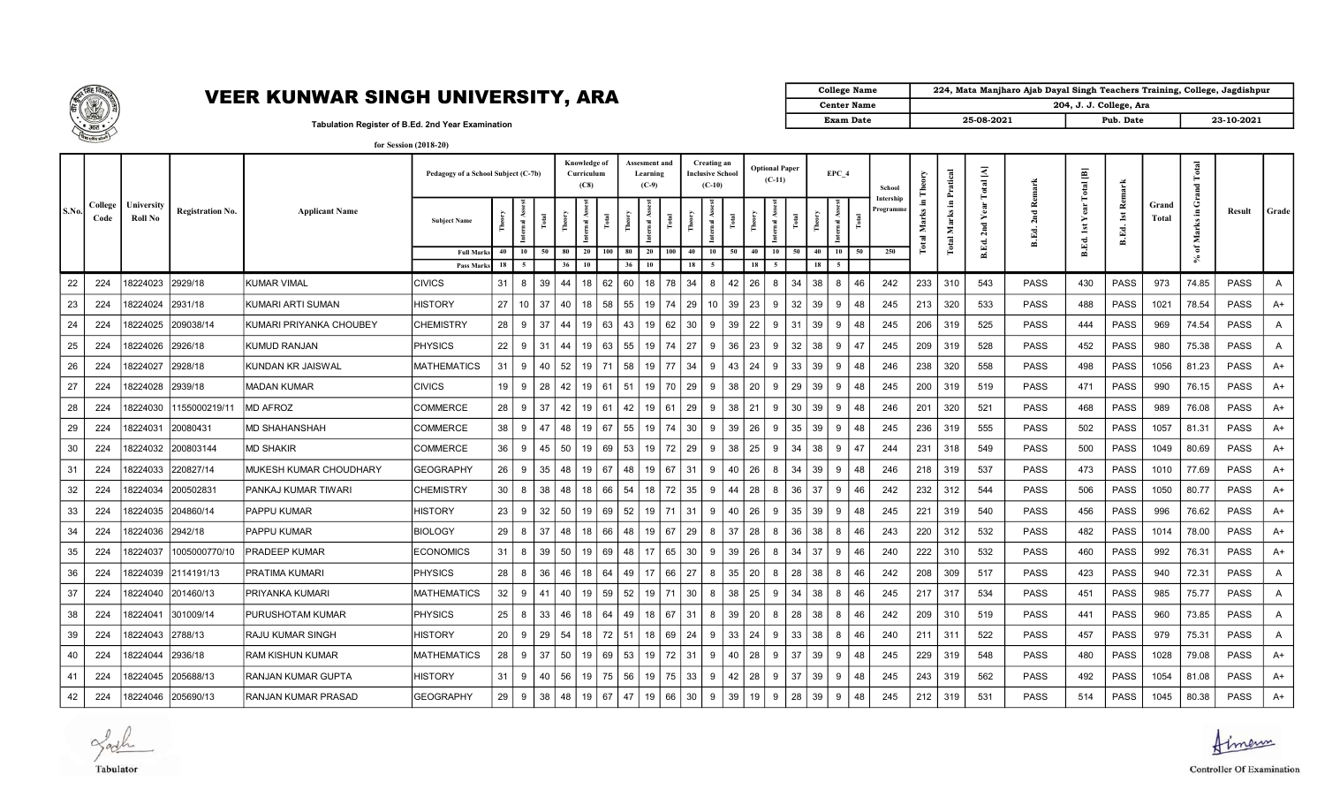

## VEER KUNWAR SINGH UNIVERSITY, ARA  $\Box$

| College Name       | 224, Mata Manjharo Ajab Dayal Singh Teachers Training, College, Jagdishpur |                         |            |
|--------------------|----------------------------------------------------------------------------|-------------------------|------------|
| <b>Center Name</b> |                                                                            | 204, J. J. College, Ara |            |
| <b>Exam Date</b>   | 25-08-2021                                                                 | Pub. Date               | 23-10-2021 |

Tabulation Register of B.Ed. 2nd Year Examination

| for Session (2018-20) |  |
|-----------------------|--|
|-----------------------|--|

|       |                 |                       |                         |                         | Pedagogy of a School Subject (C-7b) |          |                        |          | Knowledge of<br>Curriculum<br>(C8) |                 | Assesment and<br>Learning<br>$(C-9)$ |         |          | Creating an<br><b>Inclusive School</b><br>$(C-10)$ |          | <b>Optional Paper</b><br>$(C-11)$ |    | EPC 4                |    | School               |                 | Pratical    | $\rm Total\,[A]$ |                        | $\operatorname{{\sf Total}}$ [B] | Remark      |                | $\overline{a}$    |             |              |
|-------|-----------------|-----------------------|-------------------------|-------------------------|-------------------------------------|----------|------------------------|----------|------------------------------------|-----------------|--------------------------------------|---------|----------|----------------------------------------------------|----------|-----------------------------------|----|----------------------|----|----------------------|-----------------|-------------|------------------|------------------------|----------------------------------|-------------|----------------|-------------------|-------------|--------------|
| S.No. | College<br>Code | University<br>Roll No | <b>Registration No.</b> | <b>Applicant Name</b>   | <b>Subject Name</b>                 |          | al As                  |          |                                    | Ĕ               | nal As                               |         | Ĕ        |                                                    |          | 로                                 |    |                      |    | Intership<br>rogramm | Æ,<br>Σ<br>otal | л.<br>Marks | 2nd              | Rema<br>2nd<br>E.<br>ഛ | ear<br>➤<br>š                    | is<br>B.Ed. | Grand<br>Total | ت<br>.≡<br>2<br>Σ | Result      | Grade        |
|       |                 |                       |                         |                         | <b>Full Mark</b><br>Pass Marks      | 40<br>18 | <b>10</b><br>50<br>- 5 | 80<br>36 | 20<br>10                           | 100<br>80<br>36 | 20<br>10                             | 100     | 40<br>18 | 10<br>50<br>-5                                     | 40<br>18 | 10                                | 50 | 40<br>10<br>18<br>-5 | 50 | 250                  |                 | Total       | B.Ed.            |                        | B.Ed.                            |             |                | ិ                 |             |              |
| 22    | 224             | 18224023              | 2929/18                 | (UMAR VIMAL             | CIVICS                              | 31       | 8<br>39                | 44       | 18                                 | 62<br>60        | 18                                   | 78      | 34       | 42<br>R                                            | 26       | 8                                 | 34 | 38                   | 46 | 242                  | 233             | 310         | 543              | PASS                   | 430                              | <b>PASS</b> | 973            | 74.85             | <b>PASS</b> | A            |
| 23    | 224             | 18224024              | 2931/18                 | KUMARI ARTI SUMAN       | <b>HISTORY</b>                      | 27       | 10 <sup>°</sup><br>37  | 40       | 18                                 | 58<br>55        | 19                                   | 74      | 29       | 39<br>10 <sup>°</sup>                              | 23       | 9                                 | 32 | 39<br>9              | 48 | 245                  | 213             | 320         | 533              | <b>PASS</b>            | 488                              | <b>PASS</b> | 1021           | 78.54             | <b>PASS</b> | $A+$         |
| 24    | 224             | 18224025              | 209038/14               | KUMARI PRIYANKA CHOUBEY | <b>CHEMISTRY</b>                    | 28       | 9<br>37                | 44       | 19                                 | 63<br>43        | 19                                   | 62      | 30       | 39<br>9                                            | 22       | 9                                 | 31 | 39<br>9              | 48 | 245                  | 206             | 319         | 525              | PASS                   | 444                              | PASS        | 969            | 74.54             | <b>PASS</b> | A            |
| 25    | 224             | 18224026              | 2926/18                 | KUMUD RANJAN            | <b>PHYSICS</b>                      | 22       | 9<br>31                | 44       | 19                                 | 63<br>55        | 19                                   | 74      | 27       | 36<br>9                                            | 23       | 9                                 | 32 | 38<br>9              | 47 | 245                  | 209             | 319         | 528              | PASS                   | 452                              | PASS        | 980            | 75.38             | <b>PASS</b> | A            |
| 26    | 224             | 18224027              | 2928/18                 | KUNDAN KR JAISWAL       | MATHEMATICS                         | 31       | 9<br>40                | 52       | 19                                 | 71<br>58        |                                      | 19 77   | 34       | 43<br>9                                            | 24       | 9                                 | 33 | 39<br>9              | 48 | 246                  | 238             | 320         | 558              | PASS                   | 498                              | <b>PASS</b> | 1056           | 81.23             | <b>PASS</b> | A+           |
| 27    | 224             | 8224028               | 2939/18                 | MADAN KUMAR             | <b>CIVICS</b>                       | 19       | 28<br>9                | 42       | 19                                 | 61<br>51        | 19                                   | 70      | 29       | 38<br>9                                            | 20       | 9                                 | 29 | 39<br>9              | 48 | 245                  | 200             | 319         | 519              | <b>PASS</b>            | 471                              | PASS        | 990            | 76.15             | <b>PASS</b> | A+           |
| 28    | 224             | 18224030              | 1155000219/11           | MD AFROZ                | <b>COMMERCE</b>                     | 28       | 37<br>-9               | 42       | 19                                 | 61<br>42        | 19                                   | 61      | 29       | 38<br><b>q</b>                                     | 21       | -9                                | 30 | 39<br>Q              | 48 | 246                  | 201             | 320         | 521              | PASS                   | 468                              | <b>PASS</b> | 989            | 76.08             | <b>PASS</b> | A+           |
| 29    | 224             | 18224031              | 20080431                | <b>MD SHAHANSHAH</b>    | COMMERCE                            | 38       | 9<br>47                | 48       | 19                                 | 55<br>67        |                                      | 19   74 | 30       | 39<br>9                                            | 26       | 9                                 | 35 | 39<br>9              | 48 | 245                  | 236             | 319         | 555              | <b>PASS</b>            | 502                              | <b>PASS</b> | 1057           | 81.31             | <b>PASS</b> | $A+$         |
| 30    | 224             | 18224032              | 200803144               | <b>MD SHAKIR</b>        | <b>COMMERCE</b>                     | 36       | 9<br>45                | 50       | 19                                 | 69<br>53        | 19                                   | 72      | 29       | 38<br>9                                            | 25       | 9                                 | 34 | 38<br>9              | 47 | 244                  | 231             | 318         | 549              | <b>PASS</b>            | 500                              | <b>PASS</b> | 1049           | 80.69             | <b>PASS</b> | $A+$         |
| 31    | 224             | 18224033              | 220827/14               | MUKESH KUMAR CHOUDHARY  | <b>GEOGRAPHY</b>                    | 26       | 9<br>35                | 48       | 19                                 | 67<br>48        | 19                                   | 67      | 31       | 40<br>9                                            | 26       | 8                                 | 34 | 39<br>9              | 48 | 246                  | 218             | 319         | 537              | PASS                   | 473                              | PASS        | 1010           | 77.69             | <b>PASS</b> | $A+$         |
| 32    | 224             | 8224034               | 200502831               | PANKAJ KUMAR TIWARI     | CHEMISTRY                           | 30       | 8<br>38                | 48       | 18                                 | 66<br>54        | 18                                   | 72      | 35       | 44<br>9                                            | 28       | 8                                 | 36 | 37<br>9              | 46 | 242                  | 232             | 312         | 544              | PASS                   | 506                              | PASS        | 1050           | 80.77             | <b>PASS</b> | A+           |
| 33    | 224             | 18224035              | 204860/14               | PAPPU KUMAR             | <b>HISTORY</b>                      | 23       | 9<br>32                | 50       | 19                                 | 52<br>69        | 19                                   | 71      | 31       | 40<br>-9                                           | 26       | 9                                 | 35 | 39<br>Q              | 48 | 245                  | 221             | 319         | 540              | <b>PASS</b>            | 456                              | <b>PASS</b> | 996            | 76.62             | <b>PASS</b> | $A+$         |
| 34    | 224             | 18224036              | 2942/18                 | PAPPU KUMAR             | <b>BIOLOGY</b>                      | 29       | 8<br>37                | 48       | 18                                 | 66<br>48        | 19                                   | 67      | 29       | 37<br>8                                            | 28       | 8                                 | 36 | 38<br>8              | 46 | 243                  | 220             | 312         | 532              | PASS                   | 482                              | <b>PASS</b> | 1014           | 78.00             | <b>PASS</b> | $A+$         |
| 35    | 224             | 18224037              | 1005000770/10           | IPRADEEP KUMAR          | <b>ECONOMICS</b>                    | 31       | 39<br>8                | 50       | 19                                 | 69<br>48        | 17                                   | 65      | 30       | 39<br>9                                            | 26       | 8                                 | 34 | 37<br>9              | 46 | 240                  | 222             | 310         | 532              | PASS                   | 460                              | PASS        | 992            | 76.31             | <b>PASS</b> | A+           |
| 36    | 224             | 18224039              | 2114191/13              | PRATIMA KUMARI          | <b>PHYSICS</b>                      | 28       | 8<br>36                | 46       | 18                                 | 64<br>49        | 17                                   | 66      | 27       | 35<br>8                                            | 20       | 8                                 | 28 | 38<br>8              | 46 | 242                  | 208             | 309         | 517              | <b>PASS</b>            | 423                              | <b>PASS</b> | 940            | 72.31             | <b>PASS</b> | $\mathsf{A}$ |
| 37    | 224             | 18224040              | 201460/13               | PRIYANKA KUMARI         | <b>MATHEMATICS</b>                  | 32       | 9<br>41                | 40       | 19                                 | 59<br>52        | 19                                   | 71      | 30       | 38<br>8                                            | 25       | 9                                 | 34 | 38<br>8              | 46 | 245                  | 217             | 317         | 534              | PASS                   | 451                              | <b>PASS</b> | 985            | 75.77             | <b>PASS</b> | A            |
| 38    | 224             | 8224041               | 301009/14               | PURUSHOTAM KUMAR        | <b>PHYSICS</b>                      | 25       | 8<br>33                | 46       | 18                                 | 64<br>49        | 18                                   | 67      | 31       | 39<br>8                                            | 20       | 8                                 | 28 | 38<br>8              | 46 | 242                  | 209             | 310         | 519              | PASS                   | 441                              | PASS        | 960            | 73.85             | <b>PASS</b> | $\mathsf{A}$ |
| 39    | 224             | 18224043              | 2788/13                 | RAJU KUMAR SINGH        | HISTORY                             | 20       | 9<br>29                | 54       | 18                                 | 72<br>51        | 18                                   | 69      | 24       | 33<br><b>q</b>                                     | 24       | 9                                 | 33 | 38                   | 46 | 240                  | 211             | 311         | 522              | <b>PASS</b>            | 457                              | <b>PASS</b> | 979            | 75.31             | <b>PASS</b> | $\mathsf{A}$ |
| 40    | 224             | 18224044              | 2936/18                 | RAM KISHUN KUMAR        | <b>MATHEMATICS</b>                  | 28       | 37<br>9                | 50       | 19                                 | 69<br>53        | 19                                   | 72      | 31       | 40<br>9                                            | 28       | 9                                 | 37 | 39<br>9              | 48 | 245                  | 229             | 319         | 548              | PASS                   | 480                              | <b>PASS</b> | 1028           | 79.08             | <b>PASS</b> | $A+$         |
| 41    | 224             | 18224045              | 205688/13               | RANJAN KUMAR GUPTA      | HISTORY                             | 31       | 9<br>40                | 56       | 19                                 | 75<br>56        | 19                                   | 75      | 33       | 42<br>9                                            | 28       | 9                                 | 37 | 39<br>9              | 48 | 245                  | 243             | 319         | 562              | PASS                   | 492                              | <b>PASS</b> | 1054           | 81.08             | <b>PASS</b> | A+           |
| 42    | 224             | 18224046              | 205690/13               | RANJAN KUMAR PRASAD     | <b>GEOGRAPHY</b>                    | 29       | 9<br>38                | 48       | 19                                 | 47<br>67        | 19                                   | 66      | 30       | 39<br>9                                            | 19       | 9                                 | 28 | 39<br>9              | 48 | 245                  | 212             | 319         | 531              | <b>PASS</b>            | 514                              | PASS        | 1045           | 80.38             | PASS        | $A+$         |

Jack Tabulator

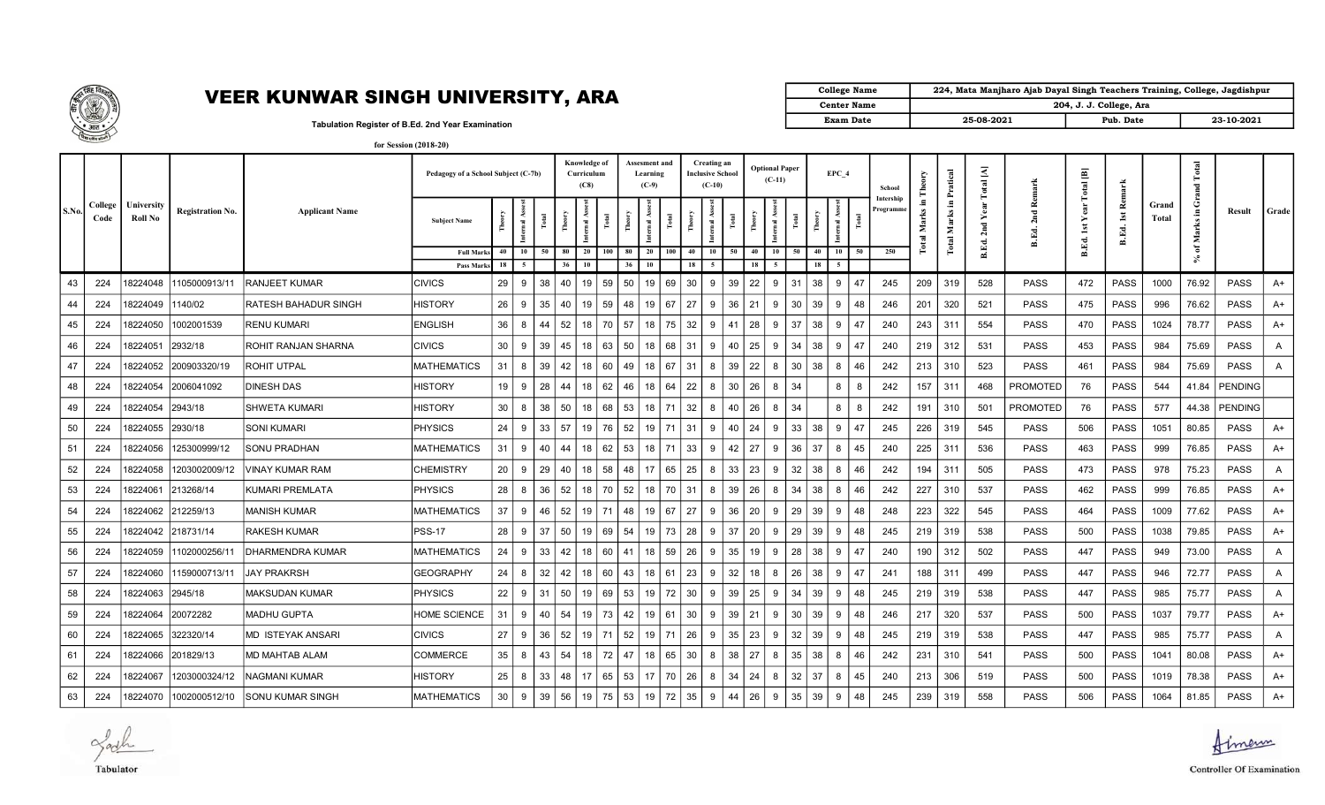

## VEER KUNWAR SINGH UNIVERSITY, ARA  $\Box$

| College Name       | 224, Mata Manjharo Ajab Dayal Singh Teachers Training, College, Jagdishpur |                         |            |
|--------------------|----------------------------------------------------------------------------|-------------------------|------------|
| <b>Center Name</b> |                                                                            | 204, J. J. College, Ara |            |
| <b>Exam Date</b>   | 25-08-2021                                                                 | Pub. Date               | 23-10-2021 |

Tabulation Register of B.Ed. 2nd Year Examination

| for Session (2018-20) |  |
|-----------------------|--|
|-----------------------|--|

|       |                 |                       |                         |                         | Pedagogy of a School Subject (C-7b) |          |                               |    | Knowledge of<br>Curriculum<br>(C8) |              |          | Assesment and<br>Learning<br>$(C-9)$ |     |          | Creating an<br><b>Inclusive School</b><br>$(C-10)$ |    | <b>Optional Paper</b><br>$(C-11)$ |                 |          | EPC 4    |    | School               | Ĕ                             | Pratical             | $\rm Total~[A]$ | Rema                         | $\operatorname{{\bf Total}}$ [B] | Remark                           |                | <sub>otal</sub><br>됩     |                |              |  |
|-------|-----------------|-----------------------|-------------------------|-------------------------|-------------------------------------|----------|-------------------------------|----|------------------------------------|--------------|----------|--------------------------------------|-----|----------|----------------------------------------------------|----|-----------------------------------|-----------------|----------|----------|----|----------------------|-------------------------------|----------------------|-----------------|------------------------------|----------------------------------|----------------------------------|----------------|--------------------------|----------------|--------------|--|
| S.No. | College<br>Code | University<br>Roll No | <b>Registration No.</b> | <b>Applicant Name</b>   | <b>Subject Name</b>                 |          | ÷.<br>$\overline{\mathbf{a}}$ |    |                                    | <b>Fotal</b> |          | $\overline{\mathbf{a}}$              |     |          | ĕ                                                  |    | rnal As                           |                 |          |          |    | Intership<br>rogramm | Æ.<br>Marks<br>$\overline{a}$ | Е.<br>Marks<br>Total | ➤<br>2nd        | 2 <sub>nd</sub><br>Ed.<br>ക് | Year<br><b>ist</b><br>B.Ed.      | $\mathop{\mathsf{Ist}}$<br>B.Ed. | Grand<br>Total | ම<br>-9<br>ks.<br>ä<br>ž | Result         | Grade        |  |
|       |                 |                       |                         |                         | <b>Full Marks</b>                   | 40       | 10                            | 50 | 80<br>20                           | 100          | 80       | 20                                   | 100 | 40       | 10                                                 | 50 | 40<br>10                          | 50              | 40       | 10       | 50 | 250                  |                               |                      | B.Ed.           |                              |                                  |                                  |                | ិ៍                       |                |              |  |
| 43    |                 |                       | 1105000913/11           | <b>RANJEET KUMAR</b>    | Pass Marks<br><b>CIVICS</b>         | 18<br>29 | 9                             | 38 | 36<br>10<br>40<br>19               | 59           | 50       | <b>10</b><br>19                      | 69  | 18<br>30 | 9                                                  | 39 | 18<br>22<br>9                     | 31              | 18<br>38 | -9       | 47 | 245                  |                               | 319                  | 528             | <b>PASS</b>                  | 472                              | <b>PASS</b>                      | 1000           | 76.92                    | PASS           | $A+$         |  |
|       | 224             | 8224048               |                         |                         |                                     |          |                               |    |                                    |              |          |                                      |     |          |                                                    |    |                                   |                 |          |          |    |                      | 209                           |                      |                 |                              |                                  |                                  |                |                          |                |              |  |
| 44    | 224             | 8224049               | 1140/02                 | RATESH BAHADUR SINGH    | <b>HISTORY</b>                      | 26       | 9                             | 35 | 40                                 | 59<br>19     | 48       | 19                                   | 67  | 27       | 9                                                  | 36 | 21<br>9                           | 30              | 39       | 9        | 48 | 246                  | 201                           | 320                  | 521             | PASS                         | 475                              | <b>PASS</b>                      | 996            | 76.62                    | <b>PASS</b>    | A+           |  |
| 45    | 224             | 8224050               | 1002001539              | <b>RENU KUMARI</b>      | <b>ENGLISH</b>                      | 36       | 8                             | 44 | 52                                 | 70<br>18     | 57       | 18                                   | 75  | 32       | 9                                                  | 41 | 28<br>-9                          | 37              | 38       | 9        | 47 | 240                  | 243                           | 311                  | 554             | <b>PASS</b>                  | 470                              | <b>PASS</b>                      | 1024           | 78.77                    | <b>PASS</b>    | $A+$         |  |
| 46    | 224             | 8224051               | 2932/18                 | ROHIT RANJAN SHARNA     | <b>CIVICS</b>                       | 30       | 9                             | 39 | 45                                 | 18<br>63     | 50       | 18                                   | 68  | 31       | 9                                                  | 40 | 25<br>9                           | 34              | 38       | 9        | 47 | 240                  | 219                           | 312                  | 531             | <b>PASS</b>                  | 453                              | PASS                             | 984            | 75.69                    | <b>PASS</b>    | A            |  |
| 47    | 224             | 8224052               | 200903320/19            | ROHIT UTPAL             | <b>MATHEMATICS</b>                  | 31       | 8                             | 39 | 42<br>18                           | 60           | 49       | 18                                   | 67  | 31       | 8                                                  | 39 | 22<br>8                           | 30 <sup>°</sup> | 38       | 8        | 46 | 242                  | 213                           | 310                  | 523             | <b>PASS</b>                  | 461                              | <b>PASS</b>                      | 984            | 75.69                    | <b>PASS</b>    | A            |  |
| 48    | 224             | 8224054               | 2006041092              | <b>DINESH DAS</b>       | HISTORY                             | 19       | 9                             | 28 | 44                                 | 62<br>18     | 46       | 18                                   | 64  | 22       | 8                                                  | 30 | 26<br>8                           | 34              |          | 8        | 8  | 242                  | 157                           | 311                  | 468             | <b>PROMOTED</b>              | 76                               | PASS                             | 544            | 41.84                    | <b>PENDING</b> |              |  |
| 49    | 224             | 8224054               | 2943/18                 | SHWETA KUMARI           | <b>HISTORY</b>                      | 30       | 8                             | 38 | 50                                 | 18<br>68     | 53       | 18                                   | 71  | 32       | 8                                                  | 40 | 26<br>8                           | 34              |          | 8        | 8  | 242                  | 191                           | 310                  | 501             | <b>PROMOTED</b>              | 76                               | PASS                             | 577            | 44.38                    | PENDING        |              |  |
| 50    | 224             | 8224055               | 2930/18                 | SONI KUMARI             | <b>PHYSICS</b>                      | 24       | 9                             | 33 | 57                                 | 76<br>19     | 52       | 19                                   | 71  | 31       | 9                                                  | 40 | 24<br>-9                          | 33              | 38       | q        | 47 | 245                  | 226                           | 319                  | 545             | <b>PASS</b>                  | 506                              | <b>PASS</b>                      | 1051           | 80.85                    | <b>PASS</b>    | $A+$         |  |
| 51    | 224             | 8224056               | 125300999/12            | SONU PRADHAN            | <b>MATHEMATICS</b>                  | 31       | 9                             | 40 | 44                                 | 18<br>62     | 53       | 18                                   | 71  | 33       | 9                                                  | 42 | 27<br>9                           | 36              | 37       | 8        | 45 | 240                  | 225                           | 311                  | 536             | <b>PASS</b>                  | 463                              | <b>PASS</b>                      | 999            | 76.85                    | <b>PASS</b>    | $A+$         |  |
| 52    | 224             | 8224058               | 1203002009/12           | VINAY KUMAR RAM         | <b>CHEMISTRY</b>                    | 20       | 9                             | 29 | 40<br>18                           | 58           | 48       | 17                                   | 65  | 25       | 8                                                  | 33 | 23<br>9                           | 32              | 38       | 8        | 46 | 242                  | 194                           | 311                  | 505             | PASS                         | 473                              | <b>PASS</b>                      | 978            | 75.23                    | <b>PASS</b>    | A            |  |
| 53    | 224             | 8224061               | 213268/14               | KUMARI PREMLATA         | PHYSICS                             | 28       | 8                             | 36 | 52                                 | 70<br>18     | 52       | 18                                   | 70  | 31       | 8                                                  | 39 | 26<br>8                           | 34              | 38       |          | 46 | 242                  | 227                           | 310                  | 537             | PASS                         | 462                              | PASS                             | 999            | 76.85                    | <b>PASS</b>    | $A+$         |  |
| 54    | 224             | 8224062               | 212259/13               | MANISH KUMAR            | <b>MATHEMATICS</b>                  | 37       | 9                             | 46 | 52                                 | 19<br>71     | 48       | 19                                   | 67  | 27       | 9                                                  | 36 | 20<br>9                           | 29              | 39       | <b>Q</b> | 48 | 248                  | 223                           | 322                  | 545             | <b>PASS</b>                  | 464                              | <b>PASS</b>                      | 1009           | 77.62                    | <b>PASS</b>    | A+           |  |
| 55    | 224             | 8224042               | 218731/14               | RAKESH KUMAR            | <b>PSS-17</b>                       | 28       | 9                             | 37 | 50<br>19                           | 69           | 54       | 19                                   | 73  | 28       | 9                                                  | 37 | 20<br>9                           | 29              | 39       | 9        | 48 | 245                  | 219                           | 319                  | 538             | <b>PASS</b>                  | 500                              | <b>PASS</b>                      | 1038           | 79.85                    | <b>PASS</b>    | $A+$         |  |
| 56    | 224             | 8224059               | 1102000256/11           | DHARMENDRA KUMAR        | <b>MATHEMATICS</b>                  | 24       | 9                             | 33 | 42                                 | 60<br>18     | 41       | 18                                   | 59  | 26       | 9                                                  | 35 | 19<br>9                           | 28              | 38       | q        | 47 | 240                  | 190                           | 312                  | 502             | PASS                         | 447                              | PASS                             | 949            | 73.00                    | <b>PASS</b>    | Α            |  |
| 57    | 224             | 8224060               | 1159000713/11           | <b>JAY PRAKRSH</b>      | <b>GEOGRAPHY</b>                    | 24       | 8                             | 32 | 42                                 | 60<br>18     | 43       | 18                                   | 61  | 23       | 9                                                  | 32 | 18<br>8                           | 26              | 38       | 9        | 47 | 241                  | 188                           | 311                  | 499             | <b>PASS</b>                  | 447                              | <b>PASS</b>                      | 946            | 72.77                    | <b>PASS</b>    | A            |  |
| 58    | 224             | 8224063               | 2945/18                 | MAKSUDAN KUMAR          | <b>PHYSICS</b>                      | 22       | 9                             | 31 | 50<br>19                           | 69           | 53       | 19                                   | 72  | 30       | 9                                                  | 39 | 25<br>9                           | 34              | 39       | 9        | 48 | 245                  | 219                           | 319                  | 538             | <b>PASS</b>                  | 447                              | <b>PASS</b>                      | 985            | 75.77                    | <b>PASS</b>    | $\mathsf{A}$ |  |
| 59    | 224             | 8224064               | 20072282                | MADHU GUPTA             | <b>HOME SCIENCE</b>                 | 31       | 9                             | 40 | 54                                 | 73<br>19     | 42       | 19                                   | 61  | 30       | 9                                                  | 39 | 21<br>9                           | 30              | 39       | 9        | 48 | 246                  | 217                           | 320                  | 537             | <b>PASS</b>                  | 500                              | <b>PASS</b>                      | 1037           | 79.77                    | <b>PASS</b>    | $A+$         |  |
| 60    | 224             | 8224065               | 322320/14               | MD ISTEYAK ANSARI       | <b>CIVICS</b>                       | 27       | 9                             | 36 | 52                                 | 19<br>71     | 52       | 19                                   | 71  | 26       | 9                                                  | 35 | 23<br>9                           | 32              | 39       | <b>Q</b> | 48 | 245                  | 219                           | 319                  | 538             | PASS                         | 447                              | PASS                             | 985            | 75.77                    | <b>PASS</b>    | A            |  |
| 61    | 224             | 8224066               | 201829/13               | MD MAHTAB ALAM          | <b>COMMERCE</b>                     | 35       | 8                             | 43 | 54                                 | 72<br>18     | 47       | 18                                   | 65  | 30       | 8                                                  | 38 | 27<br>8                           | 35              | 38       | 8        | 46 | 242                  | 231                           | 310                  | 541             | PASS                         | 500                              | <b>PASS</b>                      | 1041           | 80.08                    | <b>PASS</b>    | A+           |  |
| 62    | 224             | 8224067               | 1203000324/12           | NAGMANI KUMAR           | HISTORY                             | 25       | 8                             | 33 | 48<br>17                           | 65           | 53       | 17                                   | 70  | 26       | 8                                                  | 34 | 24<br>8                           | 32              | 37       | 8        | 45 | 240                  | 213                           | 306                  | 519             | <b>PASS</b>                  | 500                              | <b>PASS</b>                      | 1019           | 78.38                    | <b>PASS</b>    | $A+$         |  |
| 63    | 224             | 8224070               | 1002000512/10           | <b>SONU KUMAR SINGH</b> | <b>MATHEMATICS</b>                  | 30       | 9                             | 39 | 56                                 | 19           | 75<br>53 | 19                                   | 72  | 35       | 9                                                  | 44 | 26<br>9                           | 35              | 39       | 9        | 48 | 245                  | 239                           | 319                  | 558             | <b>PASS</b>                  | 506                              | PASS                             | 1064           | 81.85                    | <b>PASS</b>    | $A+$         |  |

Jach Tabulator